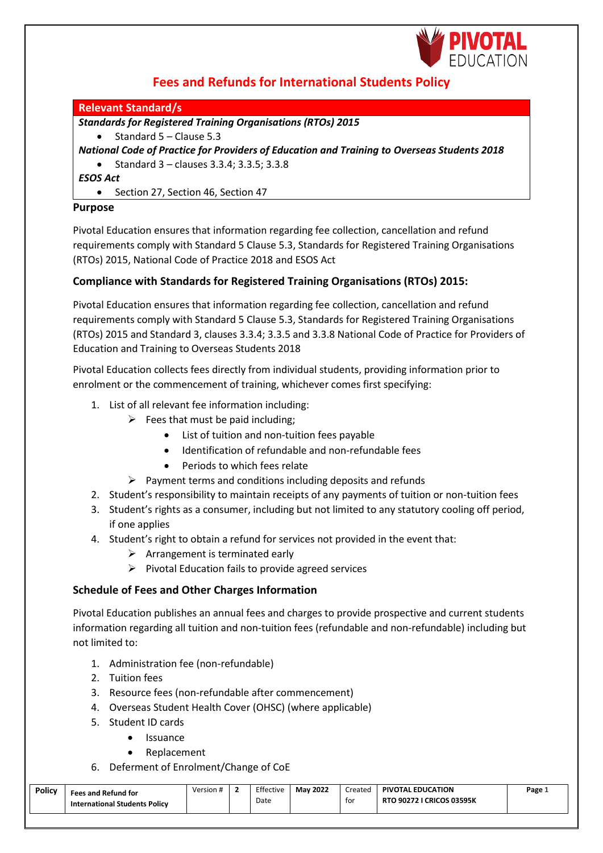

# **Fees and Refunds for International Students Policy**

| <b>Relevant Standard/s</b>                                                                  |
|---------------------------------------------------------------------------------------------|
| <b>Standards for Registered Training Organisations (RTOs) 2015</b>                          |
| Standard 5 – Clause 5.3<br>$\bullet$                                                        |
| National Code of Practice for Providers of Education and Training to Overseas Students 2018 |
| • Standard $3 -$ clauses 3.3.4; 3.3.5; 3.3.8                                                |
| <b>ESOS Act</b>                                                                             |
| Section 27, Section 46, Section 47<br>$\bullet$                                             |
| <b>Purpose</b>                                                                              |

Pivotal Education ensures that information regarding fee collection, cancellation and refund requirements comply with Standard 5 Clause 5.3, Standards for Registered Training Organisations (RTOs) 2015, National Code of Practice 2018 and ESOS Act

### **Compliance with Standards for Registered Training Organisations (RTOs) 2015:**

Pivotal Education ensures that information regarding fee collection, cancellation and refund requirements comply with Standard 5 Clause 5.3, Standards for Registered Training Organisations (RTOs) 2015 and Standard 3, clauses 3.3.4; 3.3.5 and 3.3.8 National Code of Practice for Providers of Education and Training to Overseas Students 2018

Pivotal Education collects fees directly from individual students, providing information prior to enrolment or the commencement of training, whichever comes first specifying:

- 1. List of all relevant fee information including:
	- $\triangleright$  Fees that must be paid including;
		- List of tuition and non-tuition fees payable
		- Identification of refundable and non-refundable fees
		- Periods to which fees relate
	- $\triangleright$  Payment terms and conditions including deposits and refunds
- 2. Student's responsibility to maintain receipts of any payments of tuition or non-tuition fees
- 3. Student's rights as a consumer, including but not limited to any statutory cooling off period, if one applies
- 4. Student's right to obtain a refund for services not provided in the event that:
	- $\triangleright$  Arrangement is terminated early
	- $\triangleright$  Pivotal Education fails to provide agreed services

#### **Schedule of Fees and Other Charges Information**

Pivotal Education publishes an annual fees and charges to provide prospective and current students information regarding all tuition and non-tuition fees (refundable and non-refundable) including but not limited to:

- 1. Administration fee (non-refundable)
- 2. Tuition fees
- 3. Resource fees (non-refundable after commencement)
- 4. Overseas Student Health Cover (OHSC) (where applicable)
- 5. Student ID cards
	- Issuance
		- Replacement
- 6. Deferment of Enrolment/Change of CoE

| <b>Policy</b> | <b>Fees and Refund for</b><br><b>International Students Policy</b> | Version # | - | Effective<br>Date | <b>May 2022</b> | Created<br>tor | <b>PIVOTAL EDUCATION</b><br>RTO 90272 I CRICOS 03595K | Page $\overline{ }$ |
|---------------|--------------------------------------------------------------------|-----------|---|-------------------|-----------------|----------------|-------------------------------------------------------|---------------------|
|---------------|--------------------------------------------------------------------|-----------|---|-------------------|-----------------|----------------|-------------------------------------------------------|---------------------|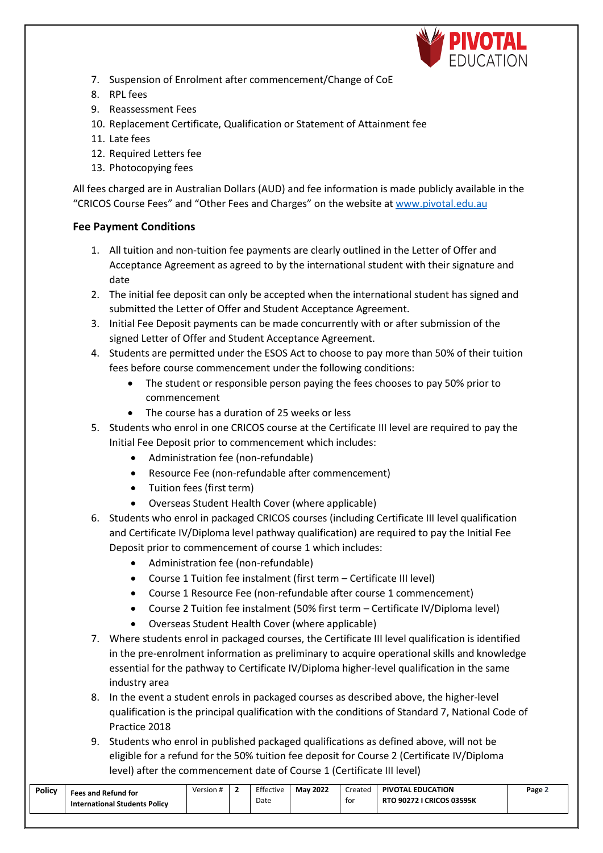

- 7. Suspension of Enrolment after commencement/Change of CoE
- 8. RPL fees
- 9. Reassessment Fees
- 10. Replacement Certificate, Qualification or Statement of Attainment fee
- 11. Late fees
- 12. Required Letters fee
- 13. Photocopying fees

All fees charged are in Australian Dollars (AUD) and fee information is made publicly available in the "CRICOS Course Fees" and "Other Fees and Charges" on the website a[t www.pivotal.edu.au](http://www.ahmi.edu.au/)

## **Fee Payment Conditions**

- 1. All tuition and non-tuition fee payments are clearly outlined in the Letter of Offer and Acceptance Agreement as agreed to by the international student with their signature and date
- 2. The initial fee deposit can only be accepted when the international student has signed and submitted the Letter of Offer and Student Acceptance Agreement.
- 3. Initial Fee Deposit payments can be made concurrently with or after submission of the signed Letter of Offer and Student Acceptance Agreement.
- 4. Students are permitted under the ESOS Act to choose to pay more than 50% of their tuition fees before course commencement under the following conditions:
	- The student or responsible person paying the fees chooses to pay 50% prior to commencement
	- The course has a duration of 25 weeks or less
- 5. Students who enrol in one CRICOS course at the Certificate III level are required to pay the Initial Fee Deposit prior to commencement which includes:
	- Administration fee (non-refundable)
	- Resource Fee (non-refundable after commencement)
	- Tuition fees (first term)
	- Overseas Student Health Cover (where applicable)
- 6. Students who enrol in packaged CRICOS courses (including Certificate III level qualification and Certificate IV/Diploma level pathway qualification) are required to pay the Initial Fee Deposit prior to commencement of course 1 which includes:
	- Administration fee (non-refundable)
	- Course 1 Tuition fee instalment (first term Certificate III level)
	- Course 1 Resource Fee (non-refundable after course 1 commencement)
	- Course 2 Tuition fee instalment (50% first term Certificate IV/Diploma level)
	- Overseas Student Health Cover (where applicable)
- 7. Where students enrol in packaged courses, the Certificate III level qualification is identified in the pre-enrolment information as preliminary to acquire operational skills and knowledge essential for the pathway to Certificate IV/Diploma higher-level qualification in the same industry area
- 8. In the event a student enrols in packaged courses as described above, the higher-level qualification is the principal qualification with the conditions of Standard 7, National Code of Practice 2018
- 9. Students who enrol in published packaged qualifications as defined above, will not be eligible for a refund for the 50% tuition fee deposit for Course 2 (Certificate IV/Diploma level) after the commencement date of Course 1 (Certificate III level)

| <b>Policy</b> | <b>Fees and Refund for</b><br><b>International Students Policy</b> | Version # |  | Effective<br>Date | <b>May 2022</b> | Created<br>tor | PIVOTAL EDUCATION<br><b>RTO 90272 I CRICOS 03595K</b> | Page $\angle$ |
|---------------|--------------------------------------------------------------------|-----------|--|-------------------|-----------------|----------------|-------------------------------------------------------|---------------|
|---------------|--------------------------------------------------------------------|-----------|--|-------------------|-----------------|----------------|-------------------------------------------------------|---------------|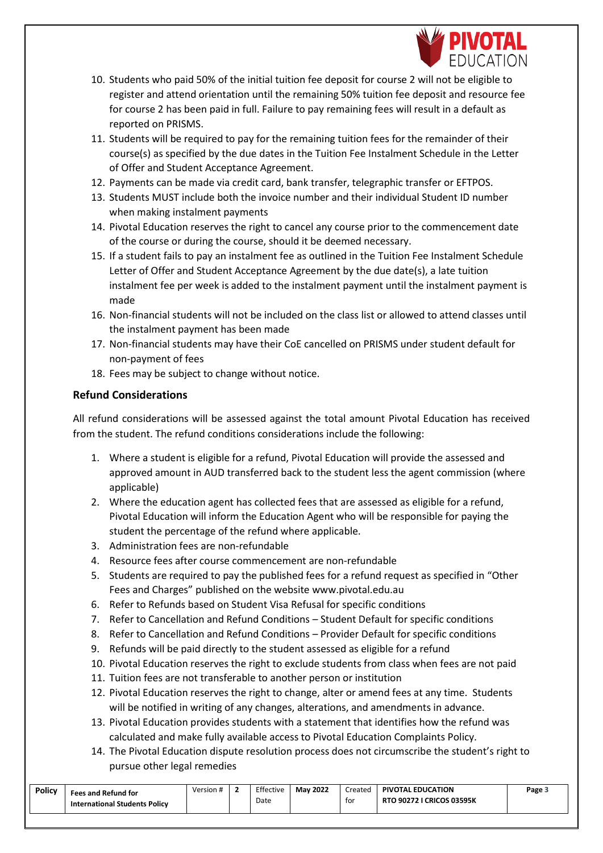

- 10. Students who paid 50% of the initial tuition fee deposit for course 2 will not be eligible to register and attend orientation until the remaining 50% tuition fee deposit and resource fee for course 2 has been paid in full. Failure to pay remaining fees will result in a default as reported on PRISMS.
- 11. Students will be required to pay for the remaining tuition fees for the remainder of their course(s) as specified by the due dates in the Tuition Fee Instalment Schedule in the Letter of Offer and Student Acceptance Agreement.
- 12. Payments can be made via credit card, bank transfer, telegraphic transfer or EFTPOS.
- 13. Students MUST include both the invoice number and their individual Student ID number when making instalment payments
- 14. Pivotal Education reserves the right to cancel any course prior to the commencement date of the course or during the course, should it be deemed necessary.
- 15. If a student fails to pay an instalment fee as outlined in the Tuition Fee Instalment Schedule Letter of Offer and Student Acceptance Agreement by the due date(s), a late tuition instalment fee per week is added to the instalment payment until the instalment payment is made
- 16. Non-financial students will not be included on the class list or allowed to attend classes until the instalment payment has been made
- 17. Non-financial students may have their CoE cancelled on PRISMS under student default for non-payment of fees
- 18. Fees may be subject to change without notice.

#### **Refund Considerations**

All refund considerations will be assessed against the total amount Pivotal Education has received from the student. The refund conditions considerations include the following:

- 1. Where a student is eligible for a refund, Pivotal Education will provide the assessed and approved amount in AUD transferred back to the student less the agent commission (where applicable)
- 2. Where the education agent has collected fees that are assessed as eligible for a refund, Pivotal Education will inform the Education Agent who will be responsible for paying the student the percentage of the refund where applicable.
- 3. Administration fees are non-refundable
- 4. Resource fees after course commencement are non-refundable
- 5. Students are required to pay the published fees for a refund request as specified in "Other Fees and Charges" published on the website [www.pivotal.edu.au](http://www.pivotal.edu.au/)
- 6. Refer to Refunds based on Student Visa Refusal for specific conditions
- 7. Refer to Cancellation and Refund Conditions Student Default for specific conditions
- 8. Refer to Cancellation and Refund Conditions Provider Default for specific conditions
- 9. Refunds will be paid directly to the student assessed as eligible for a refund
- 10. Pivotal Education reserves the right to exclude students from class when fees are not paid
- 11. Tuition fees are not transferable to another person or institution
- 12. Pivotal Education reserves the right to change, alter or amend fees at any time. Students will be notified in writing of any changes, alterations, and amendments in advance.
- 13. Pivotal Education provides students with a statement that identifies how the refund was calculated and make fully available access to Pivotal Education Complaints Policy.
- 14. The Pivotal Education dispute resolution process does not circumscribe the student's right to pursue other legal remedies

| <b>Policy</b> | Fees and Refund for<br><b>International Students Policy</b> | Version # |  | Effective<br>Date | <b>May 2022</b> | Created<br>tor | <b>PIVOTAL EDUCATION</b><br><b>RTO 90272 I CRICOS 03595K</b> | Page 5 |
|---------------|-------------------------------------------------------------|-----------|--|-------------------|-----------------|----------------|--------------------------------------------------------------|--------|
|---------------|-------------------------------------------------------------|-----------|--|-------------------|-----------------|----------------|--------------------------------------------------------------|--------|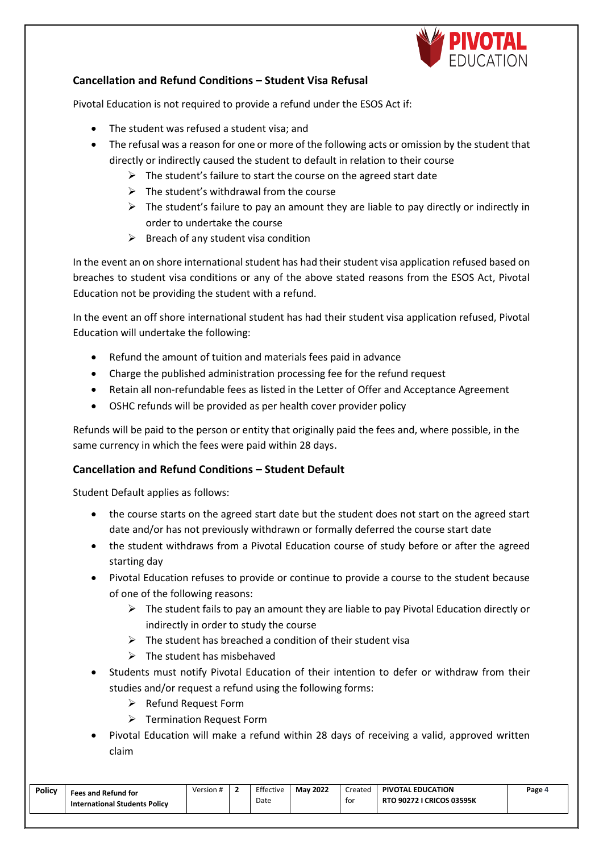

#### **Cancellation and Refund Conditions – Student Visa Refusal**

Pivotal Education is not required to provide a refund under the ESOS Act if:

- The student was refused a student visa; and
- The refusal was a reason for one or more of the following acts or omission by the student that directly or indirectly caused the student to default in relation to their course
	- $\triangleright$  The student's failure to start the course on the agreed start date
		- $\triangleright$  The student's withdrawal from the course
		- $\triangleright$  The student's failure to pay an amount they are liable to pay directly or indirectly in order to undertake the course
		- $\triangleright$  Breach of any student visa condition

In the event an on shore international student has had their student visa application refused based on breaches to student visa conditions or any of the above stated reasons from the ESOS Act, Pivotal Education not be providing the student with a refund.

In the event an off shore international student has had their student visa application refused, Pivotal Education will undertake the following:

- Refund the amount of tuition and materials fees paid in advance
- Charge the published administration processing fee for the refund request
- Retain all non-refundable fees as listed in the Letter of Offer and Acceptance Agreement
- OSHC refunds will be provided as per health cover provider policy

Refunds will be paid to the person or entity that originally paid the fees and, where possible, in the same currency in which the fees were paid within 28 days.

#### **Cancellation and Refund Conditions – Student Default**

Student Default applies as follows:

- the course starts on the agreed start date but the student does not start on the agreed start date and/or has not previously withdrawn or formally deferred the course start date
- the student withdraws from a Pivotal Education course of study before or after the agreed starting day
- Pivotal Education refuses to provide or continue to provide a course to the student because of one of the following reasons:
	- $\triangleright$  The student fails to pay an amount they are liable to pay Pivotal Education directly or indirectly in order to study the course
	- $\triangleright$  The student has breached a condition of their student visa
	- $\triangleright$  The student has misbehaved
- Students must notify Pivotal Education of their intention to defer or withdraw from their studies and/or request a refund using the following forms:
	- ➢ Refund Request Form
	- ➢ Termination Request Form
- Pivotal Education will make a refund within 28 days of receiving a valid, approved written claim

| Policy | Fees and Refund for<br><b>International Students Policy</b> | Version # |  | Effective<br>Date | <b>May 2022</b> | Created<br>tor | <b>PIVOTAL EDUCATION</b><br><b>RTO 90272 I CRICOS 03595K</b> | Page 4 |
|--------|-------------------------------------------------------------|-----------|--|-------------------|-----------------|----------------|--------------------------------------------------------------|--------|
|--------|-------------------------------------------------------------|-----------|--|-------------------|-----------------|----------------|--------------------------------------------------------------|--------|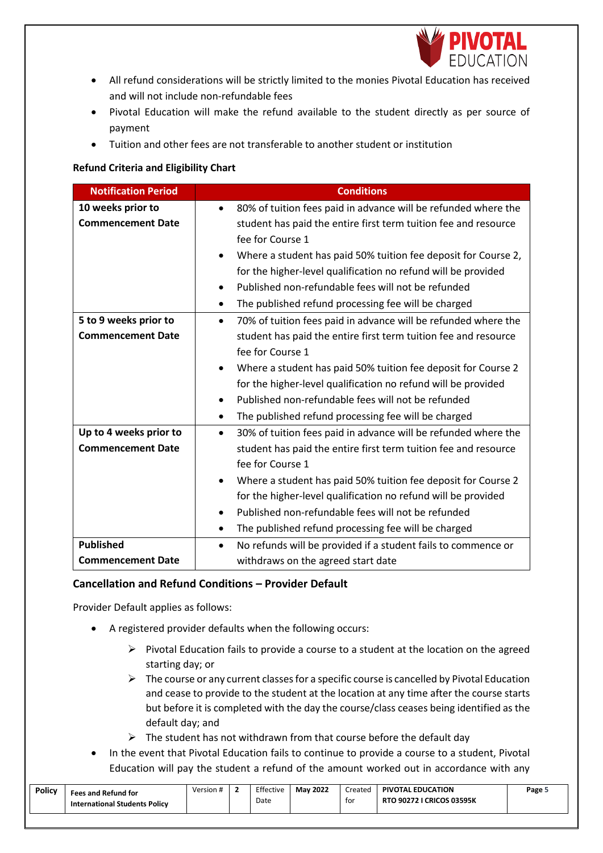

- All refund considerations will be strictly limited to the monies Pivotal Education has received and will not include non-refundable fees
- Pivotal Education will make the refund available to the student directly as per source of payment
- Tuition and other fees are not transferable to another student or institution

#### **Refund Criteria and Eligibility Chart**

| <b>Notification Period</b> |           | <b>Conditions</b>                                               |
|----------------------------|-----------|-----------------------------------------------------------------|
| 10 weeks prior to          | $\bullet$ | 80% of tuition fees paid in advance will be refunded where the  |
| <b>Commencement Date</b>   |           | student has paid the entire first term tuition fee and resource |
|                            |           | fee for Course 1                                                |
|                            | ٠         | Where a student has paid 50% tuition fee deposit for Course 2,  |
|                            |           | for the higher-level qualification no refund will be provided   |
|                            | $\bullet$ | Published non-refundable fees will not be refunded              |
|                            | $\bullet$ | The published refund processing fee will be charged             |
| 5 to 9 weeks prior to      | $\bullet$ | 70% of tuition fees paid in advance will be refunded where the  |
| <b>Commencement Date</b>   |           | student has paid the entire first term tuition fee and resource |
|                            |           | fee for Course 1                                                |
|                            | $\bullet$ | Where a student has paid 50% tuition fee deposit for Course 2   |
|                            |           | for the higher-level qualification no refund will be provided   |
|                            | ٠         | Published non-refundable fees will not be refunded              |
|                            | ٠         | The published refund processing fee will be charged             |
| Up to 4 weeks prior to     | $\bullet$ | 30% of tuition fees paid in advance will be refunded where the  |
| <b>Commencement Date</b>   |           | student has paid the entire first term tuition fee and resource |
|                            |           | fee for Course 1                                                |
|                            | $\bullet$ | Where a student has paid 50% tuition fee deposit for Course 2   |
|                            |           | for the higher-level qualification no refund will be provided   |
|                            | ٠         | Published non-refundable fees will not be refunded              |
|                            | $\bullet$ | The published refund processing fee will be charged             |
| <b>Published</b>           | $\bullet$ | No refunds will be provided if a student fails to commence or   |
| <b>Commencement Date</b>   |           | withdraws on the agreed start date                              |

#### **Cancellation and Refund Conditions – Provider Default**

Provider Default applies as follows:

- A registered provider defaults when the following occurs:
	- ➢ Pivotal Education fails to provide a course to a student at the location on the agreed starting day; or
	- $\triangleright$  The course or any current classes for a specific course is cancelled by Pivotal Education and cease to provide to the student at the location at any time after the course starts but before it is completed with the day the course/class ceases being identified as the default day; and
	- $\triangleright$  The student has not withdrawn from that course before the default day
- In the event that Pivotal Education fails to continue to provide a course to a student, Pivotal Education will pay the student a refund of the amount worked out in accordance with any

| Policy | <b>Fees and Refund for</b><br><b>International Students Policy</b> | Version # |  | Effective<br>Date | <b>May 2022</b> | Created<br>tor | <b>PIVOTAL EDUCATION</b><br><b>RTO 90272 I CRICOS 03595K</b> | Page 5 |
|--------|--------------------------------------------------------------------|-----------|--|-------------------|-----------------|----------------|--------------------------------------------------------------|--------|
|--------|--------------------------------------------------------------------|-----------|--|-------------------|-----------------|----------------|--------------------------------------------------------------|--------|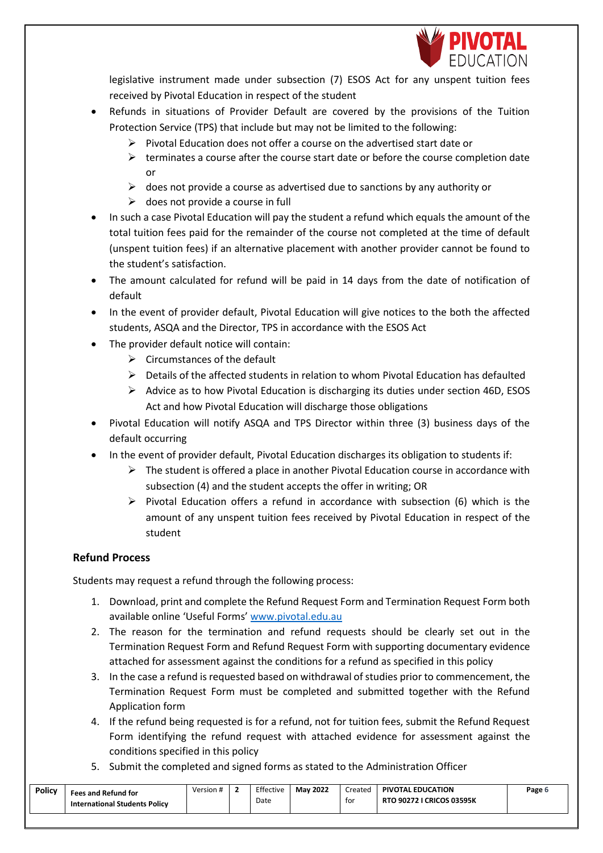

legislative instrument made under subsection (7) ESOS Act for any unspent tuition fees received by Pivotal Education in respect of the student

- Refunds in situations of Provider Default are covered by the provisions of the Tuition Protection Service (TPS) that include but may not be limited to the following:
	- $\triangleright$  Pivotal Education does not offer a course on the advertised start date or
	- $\triangleright$  terminates a course after the course start date or before the course completion date or
	- $\triangleright$  does not provide a course as advertised due to sanctions by any authority or
	- $\triangleright$  does not provide a course in full
- In such a case Pivotal Education will pay the student a refund which equals the amount of the total tuition fees paid for the remainder of the course not completed at the time of default (unspent tuition fees) if an alternative placement with another provider cannot be found to the student's satisfaction.
- The amount calculated for refund will be paid in 14 days from the date of notification of default
- In the event of provider default, Pivotal Education will give notices to the both the affected students, ASQA and the Director, TPS in accordance with the ESOS Act
- The provider default notice will contain:
	- $\triangleright$  Circumstances of the default
	- $\triangleright$  Details of the affected students in relation to whom Pivotal Education has defaulted
	- $\triangleright$  Advice as to how Pivotal Education is discharging its duties under section 46D, ESOS Act and how Pivotal Education will discharge those obligations
- Pivotal Education will notify ASQA and TPS Director within three (3) business days of the default occurring
- In the event of provider default, Pivotal Education discharges its obligation to students if:
	- $\triangleright$  The student is offered a place in another Pivotal Education course in accordance with subsection (4) and the student accepts the offer in writing; OR
	- $\triangleright$  Pivotal Education offers a refund in accordance with subsection (6) which is the amount of any unspent tuition fees received by Pivotal Education in respect of the student

## **Refund Process**

Students may request a refund through the following process:

- 1. Download, print and complete the Refund Request Form and Termination Request Form both available online 'Useful Forms' [www.pivotal.edu.au](http://www.pivotal.edu.au/)
- 2. The reason for the termination and refund requests should be clearly set out in the Termination Request Form and Refund Request Form with supporting documentary evidence attached for assessment against the conditions for a refund as specified in this policy
- 3. In the case a refund is requested based on withdrawal of studies prior to commencement, the Termination Request Form must be completed and submitted together with the Refund Application form
- 4. If the refund being requested is for a refund, not for tuition fees, submit the Refund Request Form identifying the refund request with attached evidence for assessment against the conditions specified in this policy
- 5. Submit the completed and signed forms as stated to the Administration Officer

| Policy | <b>Fees and Refund for</b><br><b>International Students Policy</b> | Version # |  | Effective<br>Date | <b>May 2022</b> | Created<br>tor | <b>PIVOTAL EDUCATION</b><br><b>RTO 90272 I CRICOS 03595K</b> | Page 6 |
|--------|--------------------------------------------------------------------|-----------|--|-------------------|-----------------|----------------|--------------------------------------------------------------|--------|
|--------|--------------------------------------------------------------------|-----------|--|-------------------|-----------------|----------------|--------------------------------------------------------------|--------|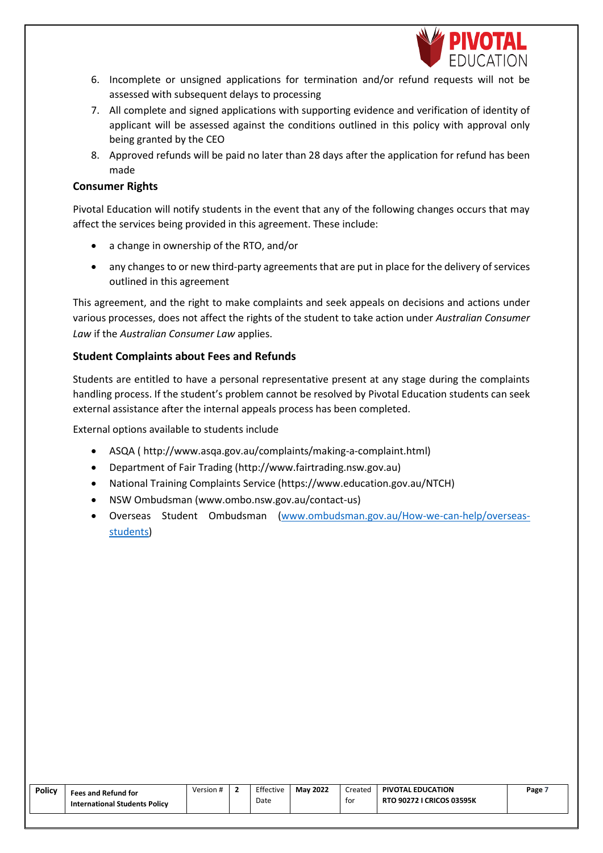

- 6. Incomplete or unsigned applications for termination and/or refund requests will not be assessed with subsequent delays to processing
- 7. All complete and signed applications with supporting evidence and verification of identity of applicant will be assessed against the conditions outlined in this policy with approval only being granted by the CEO
- 8. Approved refunds will be paid no later than 28 days after the application for refund has been made

#### **Consumer Rights**

Pivotal Education will notify students in the event that any of the following changes occurs that may affect the services being provided in this agreement. These include:

- a change in ownership of the RTO, and/or
- any changes to or new third-party agreements that are put in place for the delivery of services outlined in this agreement

This agreement, and the right to make complaints and seek appeals on decisions and actions under various processes, does not affect the rights of the student to take action under *Australian Consumer Law* if the *Australian Consumer Law* applies.

### **Student Complaints about Fees and Refunds**

Students are entitled to have a personal representative present at any stage during the complaints handling process. If the student's problem cannot be resolved by Pivotal Education students can seek external assistance after the internal appeals process has been completed.

External options available to students include

- ASQA [\( http://www.asqa.gov.au/complaints/making-a-complaint.html\)](http://www.asqa.gov.au/complaints/making-a-complaint.html)
- Department of Fair Trading [\(http://www.fairtrading.nsw.gov.au\)](http://www.fairtrading.nsw.gov.au/)
- National Training Complaints Service [\(https://www.education.gov.au/NTCH\)](https://www.education.gov.au/NTCH)
- NSW Ombudsman [\(www.ombo.nsw.gov.au/contact-us\)](http://www.ombo.nsw.gov.au/contact-us)
- Overseas Student Ombudsman [\(www.ombudsman.gov.au/How-we-can-help/overseas](http://www.ombudsman.gov.au/How-we-can-help/overseas-students)[students\)](http://www.ombudsman.gov.au/How-we-can-help/overseas-students)

| Policy | <b>Fees and Refund for</b>           | Version # | Effective | <b>May 2022</b> | Created | <b>PIVOTAL EDUCATION</b>         | Page. |
|--------|--------------------------------------|-----------|-----------|-----------------|---------|----------------------------------|-------|
|        | <b>International Students Policy</b> |           | Date      |                 | tor     | <b>RTO 90272 I CRICOS 03595K</b> |       |